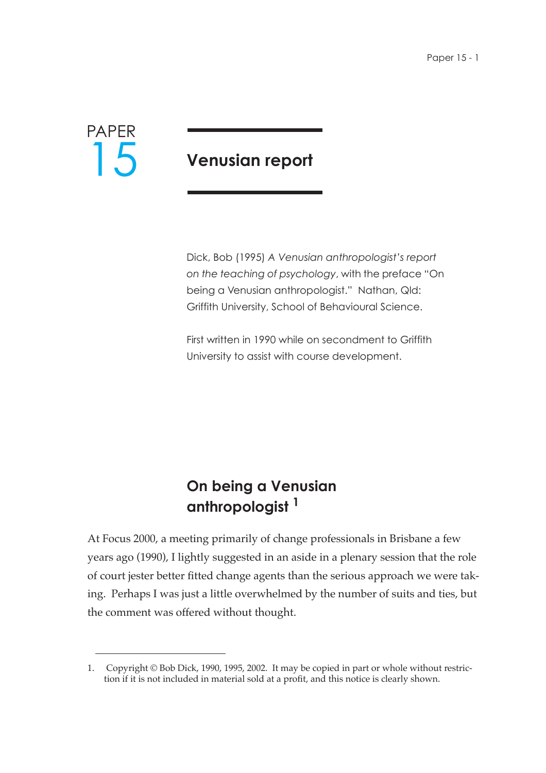

# **Venusian report**

Dick, Bob (1995) *A Venusian anthropologist's report on the teaching of psychology*, with the preface "On being a Venusian anthropologist." Nathan, Qld: Griffith University, School of Behavioural Science.

First written in 1990 while on secondment to Griffith University to assist with course development.

# **On being a Venusian anthropologist 1**

At Focus 2000, a meeting primarily of change professionals in Brisbane a few years ago (1990), I lightly suggested in an aside in a plenary session that the role of court jester better fitted change agents than the serious approach we were taking. Perhaps I was just a little overwhelmed by the number of suits and ties, but the comment was offered without thought.

<sup>1.</sup> Copyright © Bob Dick, 1990, 1995, 2002. It may be copied in part or whole without restriction if it is not included in material sold at a profit, and this notice is clearly shown.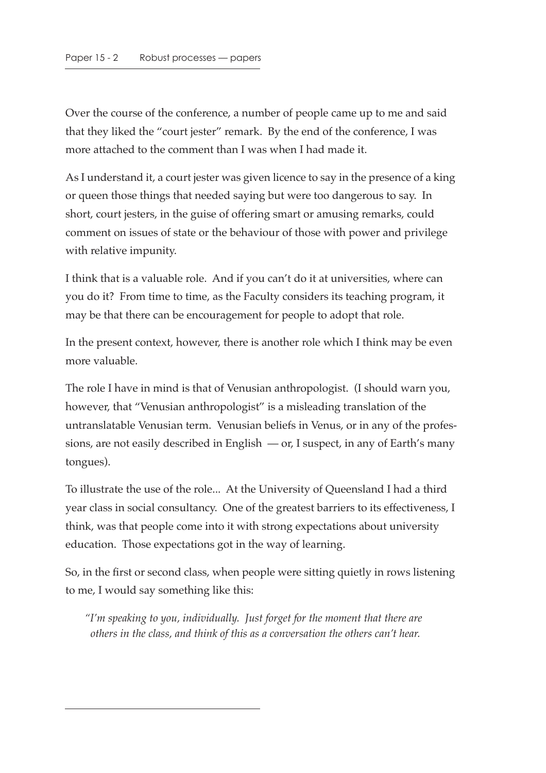Over the course of the conference, a number of people came up to me and said that they liked the "court jester" remark. By the end of the conference, I was more attached to the comment than I was when I had made it.

As I understand it, a court jester was given licence to say in the presence of a king or queen those things that needed saying but were too dangerous to say. In short, court jesters, in the guise of offering smart or amusing remarks, could comment on issues of state or the behaviour of those with power and privilege with relative impunity.

I think that is a valuable role. And if you can't do it at universities, where can you do it? From time to time, as the Faculty considers its teaching program, it may be that there can be encouragement for people to adopt that role.

In the present context, however, there is another role which I think may be even more valuable.

The role I have in mind is that of Venusian anthropologist. (I should warn you, however, that "Venusian anthropologist" is a misleading translation of the untranslatable Venusian term. Venusian beliefs in Venus, or in any of the professions, are not easily described in English — or, I suspect, in any of Earth's many tongues).

To illustrate the use of the role... At the University of Queensland I had a third year class in social consultancy. One of the greatest barriers to its effectiveness, I think, was that people come into it with strong expectations about university education. Those expectations got in the way of learning.

So, in the first or second class, when people were sitting quietly in rows listening to me, I would say something like this:

*"I'm speaking to you, individually. Just forget for the moment that there are others in the class, and think of this as a conversation the others can't hear.*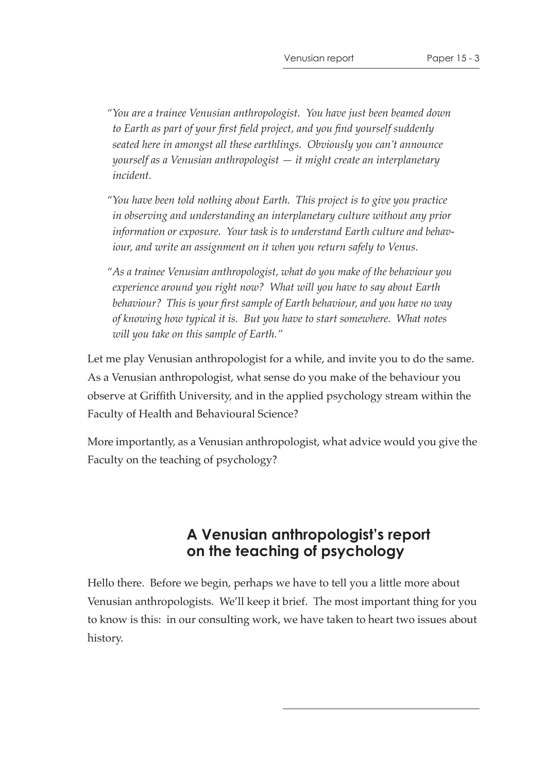- *"You are a trainee Venusian anthropologist. You have just been beamed down to Earth as part of your first field project, and you find yourself suddenly seated here in amongst all these earthlings. Obviously you can't announce yourself as a Venusian anthropologist — it might create an interplanetary incident.*
- *"You have been told nothing about Earth. This project is to give you practice in observing and understanding an interplanetary culture without any prior information or exposure. Your task is to understand Earth culture and behaviour, and write an assignment on it when you return safely to Venus.*
- *"As a trainee Venusian anthropologist, what do you make of the behaviour you experience around you right now? What will you have to say about Earth behaviour? This is your first sample of Earth behaviour, and you have no way of knowing how typical it is. But you have to start somewhere. What notes will you take on this sample of Earth."*

Let me play Venusian anthropologist for a while, and invite you to do the same. As a Venusian anthropologist, what sense do you make of the behaviour you observe at Griffith University, and in the applied psychology stream within the Faculty of Health and Behavioural Science?

More importantly, as a Venusian anthropologist, what advice would you give the Faculty on the teaching of psychology?

# **A Venusian anthropologist's report on the teaching of psychology**

Hello there. Before we begin, perhaps we have to tell you a little more about Venusian anthropologists. We'll keep it brief. The most important thing for you to know is this: in our consulting work, we have taken to heart two issues about history.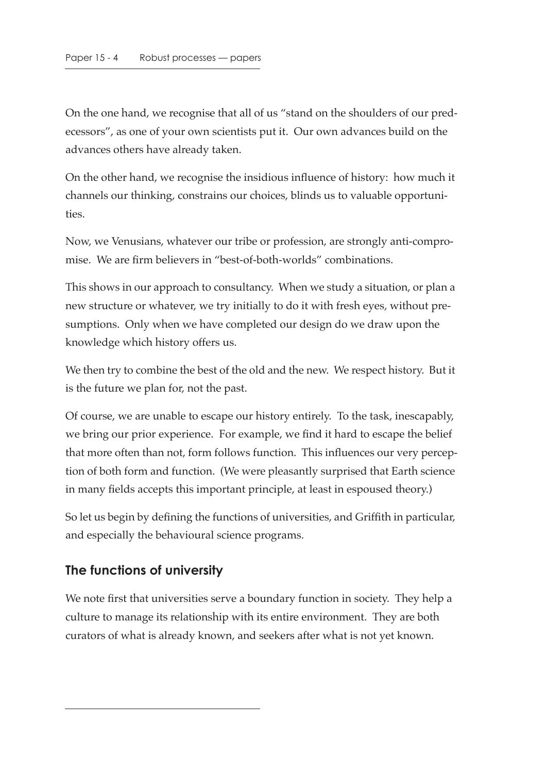On the one hand, we recognise that all of us "stand on the shoulders of our predecessors", as one of your own scientists put it. Our own advances build on the advances others have already taken.

On the other hand, we recognise the insidious influence of history: how much it channels our thinking, constrains our choices, blinds us to valuable opportunities.

Now, we Venusians, whatever our tribe or profession, are strongly anti-compromise. We are firm believers in "best-of-both-worlds" combinations.

This shows in our approach to consultancy. When we study a situation, or plan a new structure or whatever, we try initially to do it with fresh eyes, without presumptions. Only when we have completed our design do we draw upon the knowledge which history offers us.

We then try to combine the best of the old and the new. We respect history. But it is the future we plan for, not the past.

Of course, we are unable to escape our history entirely. To the task, inescapably, we bring our prior experience. For example, we find it hard to escape the belief that more often than not, form follows function. This influences our very perception of both form and function. (We were pleasantly surprised that Earth science in many fields accepts this important principle, at least in espoused theory.)

So let us begin by defining the functions of universities, and Griffith in particular, and especially the behavioural science programs.

## **The functions of university**

We note first that universities serve a boundary function in society. They help a culture to manage its relationship with its entire environment. They are both curators of what is already known, and seekers after what is not yet known.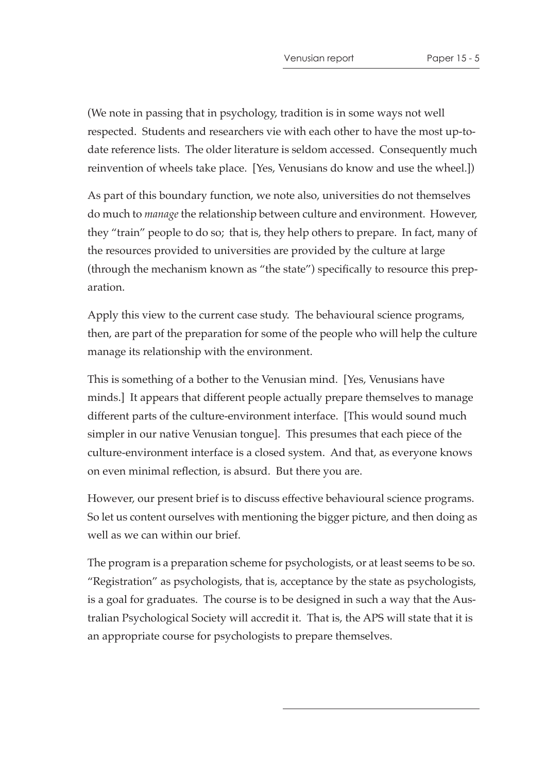(We note in passing that in psychology, tradition is in some ways not well respected. Students and researchers vie with each other to have the most up-todate reference lists. The older literature is seldom accessed. Consequently much reinvention of wheels take place. [Yes, Venusians do know and use the wheel.])

As part of this boundary function, we note also, universities do not themselves do much to *manage* the relationship between culture and environment. However, they "train" people to do so; that is, they help others to prepare. In fact, many of the resources provided to universities are provided by the culture at large (through the mechanism known as "the state") specifically to resource this preparation.

Apply this view to the current case study. The behavioural science programs, then, are part of the preparation for some of the people who will help the culture manage its relationship with the environment.

This is something of a bother to the Venusian mind. [Yes, Venusians have minds.] It appears that different people actually prepare themselves to manage different parts of the culture-environment interface. [This would sound much simpler in our native Venusian tongue]. This presumes that each piece of the culture-environment interface is a closed system. And that, as everyone knows on even minimal reflection, is absurd. But there you are.

However, our present brief is to discuss effective behavioural science programs. So let us content ourselves with mentioning the bigger picture, and then doing as well as we can within our brief.

The program is a preparation scheme for psychologists, or at least seems to be so. "Registration" as psychologists, that is, acceptance by the state as psychologists, is a goal for graduates. The course is to be designed in such a way that the Australian Psychological Society will accredit it. That is, the APS will state that it is an appropriate course for psychologists to prepare themselves.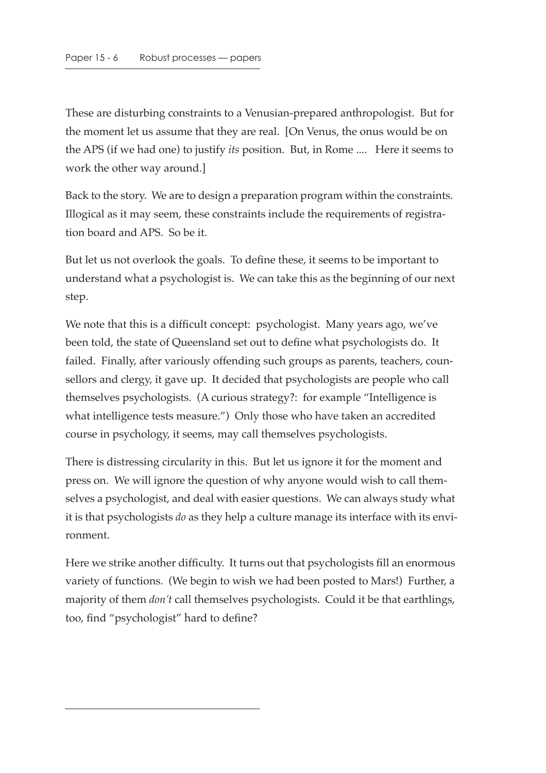These are disturbing constraints to a Venusian-prepared anthropologist. But for the moment let us assume that they are real. [On Venus, the onus would be on the APS (if we had one) to justify *its* position. But, in Rome .... Here it seems to work the other way around.]

Back to the story. We are to design a preparation program within the constraints. Illogical as it may seem, these constraints include the requirements of registration board and APS. So be it.

But let us not overlook the goals. To define these, it seems to be important to understand what a psychologist is. We can take this as the beginning of our next step.

We note that this is a difficult concept: psychologist. Many years ago, we've been told, the state of Queensland set out to define what psychologists do. It failed. Finally, after variously offending such groups as parents, teachers, counsellors and clergy, it gave up. It decided that psychologists are people who call themselves psychologists. (A curious strategy?: for example "Intelligence is what intelligence tests measure.") Only those who have taken an accredited course in psychology, it seems, may call themselves psychologists.

There is distressing circularity in this. But let us ignore it for the moment and press on. We will ignore the question of why anyone would wish to call themselves a psychologist, and deal with easier questions. We can always study what it is that psychologists *do* as they help a culture manage its interface with its environment.

Here we strike another difficulty. It turns out that psychologists fill an enormous variety of functions. (We begin to wish we had been posted to Mars!) Further, a majority of them *don't* call themselves psychologists. Could it be that earthlings, too, find "psychologist" hard to define?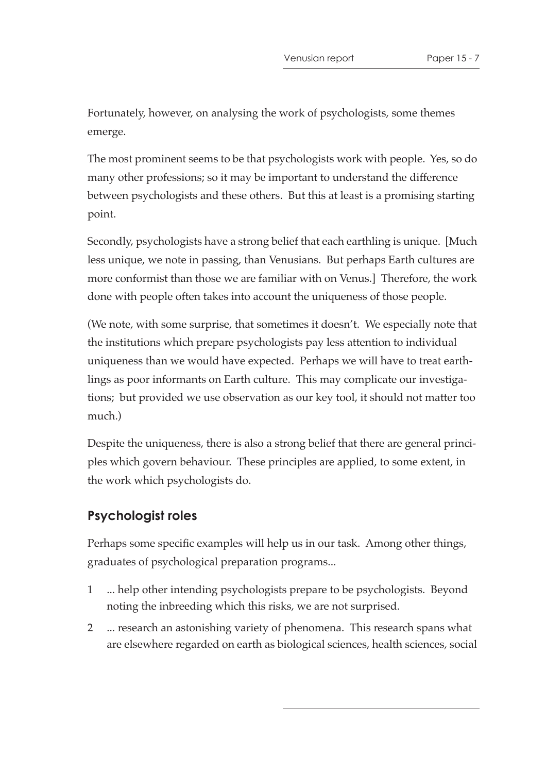Fortunately, however, on analysing the work of psychologists, some themes emerge.

The most prominent seems to be that psychologists work with people. Yes, so do many other professions; so it may be important to understand the difference between psychologists and these others. But this at least is a promising starting point.

Secondly, psychologists have a strong belief that each earthling is unique. [Much less unique, we note in passing, than Venusians. But perhaps Earth cultures are more conformist than those we are familiar with on Venus.] Therefore, the work done with people often takes into account the uniqueness of those people.

(We note, with some surprise, that sometimes it doesn't. We especially note that the institutions which prepare psychologists pay less attention to individual uniqueness than we would have expected. Perhaps we will have to treat earthlings as poor informants on Earth culture. This may complicate our investigations; but provided we use observation as our key tool, it should not matter too much.)

Despite the uniqueness, there is also a strong belief that there are general principles which govern behaviour. These principles are applied, to some extent, in the work which psychologists do.

## **Psychologist roles**

Perhaps some specific examples will help us in our task. Among other things, graduates of psychological preparation programs...

- 1 ... help other intending psychologists prepare to be psychologists. Beyond noting the inbreeding which this risks, we are not surprised.
- 2 ... research an astonishing variety of phenomena. This research spans what are elsewhere regarded on earth as biological sciences, health sciences, social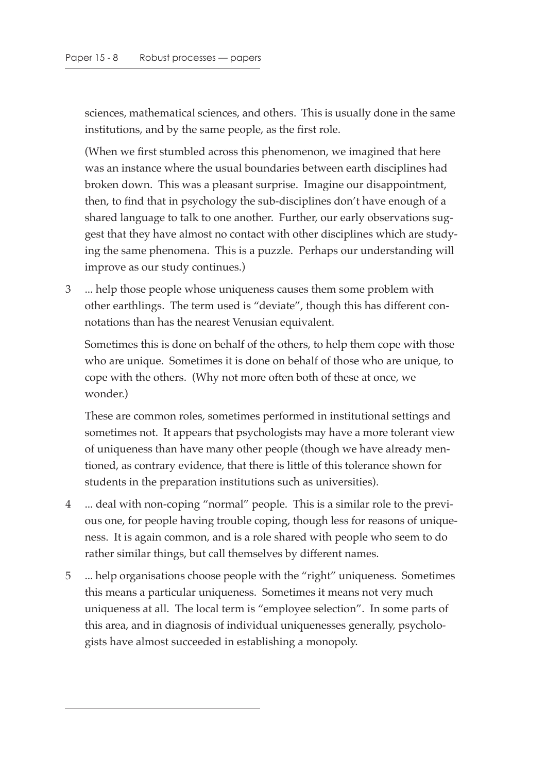sciences, mathematical sciences, and others. This is usually done in the same institutions, and by the same people, as the first role.

(When we first stumbled across this phenomenon, we imagined that here was an instance where the usual boundaries between earth disciplines had broken down. This was a pleasant surprise. Imagine our disappointment, then, to find that in psychology the sub-disciplines don't have enough of a shared language to talk to one another. Further, our early observations suggest that they have almost no contact with other disciplines which are studying the same phenomena. This is a puzzle. Perhaps our understanding will improve as our study continues.)

3 ... help those people whose uniqueness causes them some problem with other earthlings. The term used is "deviate", though this has different connotations than has the nearest Venusian equivalent.

Sometimes this is done on behalf of the others, to help them cope with those who are unique. Sometimes it is done on behalf of those who are unique, to cope with the others. (Why not more often both of these at once, we wonder.)

These are common roles, sometimes performed in institutional settings and sometimes not. It appears that psychologists may have a more tolerant view of uniqueness than have many other people (though we have already mentioned, as contrary evidence, that there is little of this tolerance shown for students in the preparation institutions such as universities).

- 4 ... deal with non-coping "normal" people. This is a similar role to the previous one, for people having trouble coping, though less for reasons of uniqueness. It is again common, and is a role shared with people who seem to do rather similar things, but call themselves by different names.
- 5 ... help organisations choose people with the "right" uniqueness. Sometimes this means a particular uniqueness. Sometimes it means not very much uniqueness at all. The local term is "employee selection". In some parts of this area, and in diagnosis of individual uniquenesses generally, psychologists have almost succeeded in establishing a monopoly.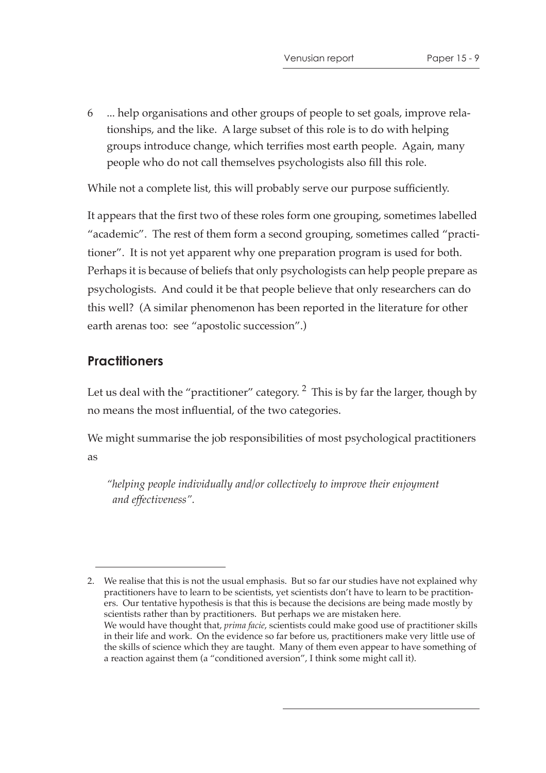6 ... help organisations and other groups of people to set goals, improve relationships, and the like. A large subset of this role is to do with helping groups introduce change, which terrifies most earth people. Again, many people who do not call themselves psychologists also fill this role.

While not a complete list, this will probably serve our purpose sufficiently.

It appears that the first two of these roles form one grouping, sometimes labelled "academic". The rest of them form a second grouping, sometimes called "practitioner". It is not yet apparent why one preparation program is used for both. Perhaps it is because of beliefs that only psychologists can help people prepare as psychologists. And could it be that people believe that only researchers can do this well? (A similar phenomenon has been reported in the literature for other earth arenas too: see "apostolic succession".)

## **Practitioners**

Let us deal with the "practitioner" category.  $2$  This is by far the larger, though by no means the most influential, of the two categories.

We might summarise the job responsibilities of most psychological practitioners as

*"helping people individually and/or collectively to improve their enjoyment and effectiveness".*

<sup>2.</sup> We realise that this is not the usual emphasis. But so far our studies have not explained why practitioners have to learn to be scientists, yet scientists don't have to learn to be practitioners. Our tentative hypothesis is that this is because the decisions are being made mostly by scientists rather than by practitioners. But perhaps we are mistaken here. We would have thought that, *prima facie*, scientists could make good use of practitioner skills in their life and work. On the evidence so far before us, practitioners make very little use of the skills of science which they are taught. Many of them even appear to have something of a reaction against them (a "conditioned aversion", I think some might call it).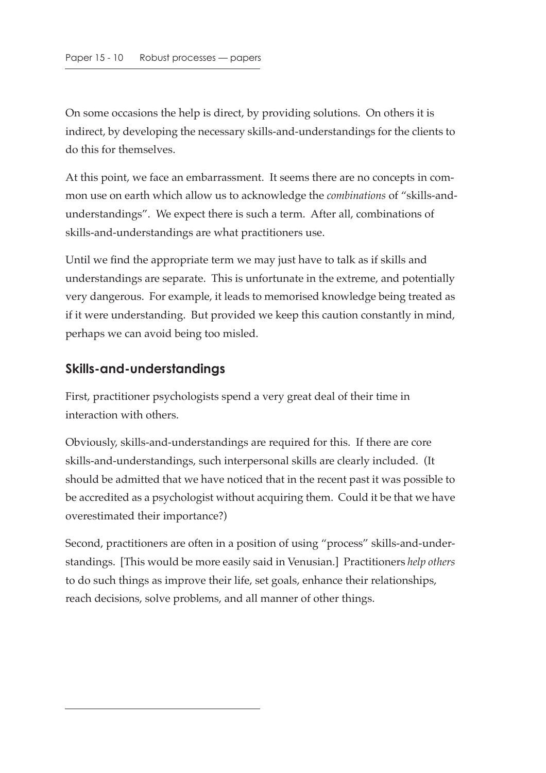On some occasions the help is direct, by providing solutions. On others it is indirect, by developing the necessary skills-and-understandings for the clients to do this for themselves.

At this point, we face an embarrassment. It seems there are no concepts in common use on earth which allow us to acknowledge the *combinations* of "skills-andunderstandings". We expect there is such a term. After all, combinations of skills-and-understandings are what practitioners use.

Until we find the appropriate term we may just have to talk as if skills and understandings are separate. This is unfortunate in the extreme, and potentially very dangerous. For example, it leads to memorised knowledge being treated as if it were understanding. But provided we keep this caution constantly in mind, perhaps we can avoid being too misled.

## **Skills-and-understandings**

First, practitioner psychologists spend a very great deal of their time in interaction with others.

Obviously, skills-and-understandings are required for this. If there are core skills-and-understandings, such interpersonal skills are clearly included. (It should be admitted that we have noticed that in the recent past it was possible to be accredited as a psychologist without acquiring them. Could it be that we have overestimated their importance?)

Second, practitioners are often in a position of using "process" skills-and-understandings. [This would be more easily said in Venusian.] Practitioners *help others* to do such things as improve their life, set goals, enhance their relationships, reach decisions, solve problems, and all manner of other things.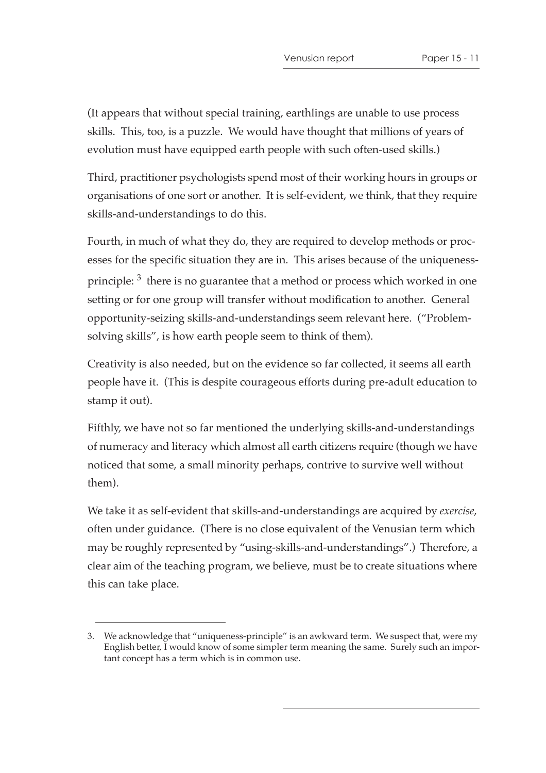(It appears that without special training, earthlings are unable to use process skills. This, too, is a puzzle. We would have thought that millions of years of evolution must have equipped earth people with such often-used skills.)

Third, practitioner psychologists spend most of their working hours in groups or organisations of one sort or another. It is self-evident, we think, that they require skills-and-understandings to do this.

Fourth, in much of what they do, they are required to develop methods or processes for the specific situation they are in. This arises because of the uniquenessprinciple:  $3$  there is no guarantee that a method or process which worked in one setting or for one group will transfer without modification to another. General opportunity-seizing skills-and-understandings seem relevant here. ("Problemsolving skills", is how earth people seem to think of them).

Creativity is also needed, but on the evidence so far collected, it seems all earth people have it. (This is despite courageous efforts during pre-adult education to stamp it out).

Fifthly, we have not so far mentioned the underlying skills-and-understandings of numeracy and literacy which almost all earth citizens require (though we have noticed that some, a small minority perhaps, contrive to survive well without them).

We take it as self-evident that skills-and-understandings are acquired by *exercise*, often under guidance. (There is no close equivalent of the Venusian term which may be roughly represented by "using-skills-and-understandings".) Therefore, a clear aim of the teaching program, we believe, must be to create situations where this can take place.

<sup>3.</sup> We acknowledge that "uniqueness-principle" is an awkward term. We suspect that, were my English better, I would know of some simpler term meaning the same. Surely such an important concept has a term which is in common use.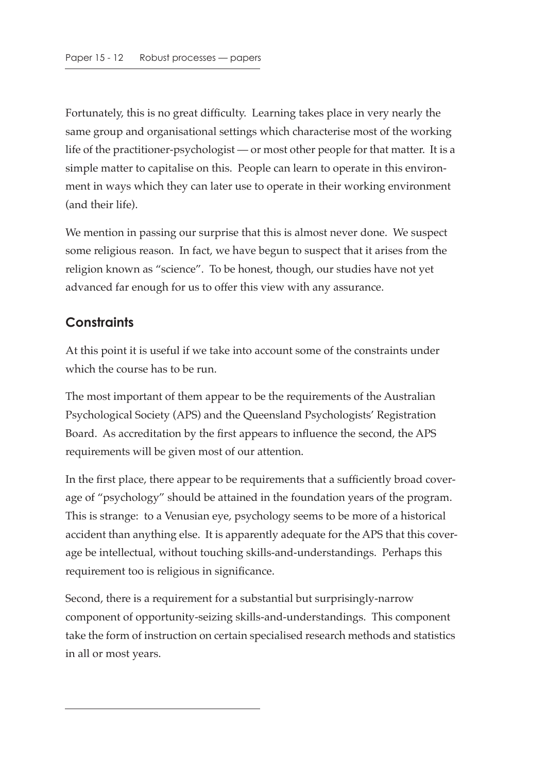Fortunately, this is no great difficulty. Learning takes place in very nearly the same group and organisational settings which characterise most of the working life of the practitioner-psychologist — or most other people for that matter. It is a simple matter to capitalise on this. People can learn to operate in this environment in ways which they can later use to operate in their working environment (and their life).

We mention in passing our surprise that this is almost never done. We suspect some religious reason. In fact, we have begun to suspect that it arises from the religion known as "science". To be honest, though, our studies have not yet advanced far enough for us to offer this view with any assurance.

## **Constraints**

At this point it is useful if we take into account some of the constraints under which the course has to be run.

The most important of them appear to be the requirements of the Australian Psychological Society (APS) and the Queensland Psychologists' Registration Board. As accreditation by the first appears to influence the second, the APS requirements will be given most of our attention.

In the first place, there appear to be requirements that a sufficiently broad coverage of "psychology" should be attained in the foundation years of the program. This is strange: to a Venusian eye, psychology seems to be more of a historical accident than anything else. It is apparently adequate for the APS that this coverage be intellectual, without touching skills-and-understandings. Perhaps this requirement too is religious in significance.

Second, there is a requirement for a substantial but surprisingly-narrow component of opportunity-seizing skills-and-understandings. This component take the form of instruction on certain specialised research methods and statistics in all or most years.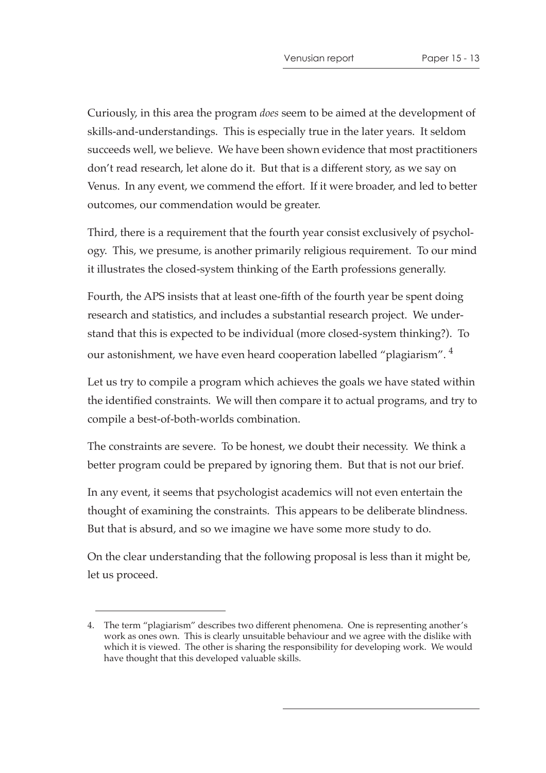Curiously, in this area the program *does* seem to be aimed at the development of skills-and-understandings. This is especially true in the later years. It seldom succeeds well, we believe. We have been shown evidence that most practitioners don't read research, let alone do it. But that is a different story, as we say on Venus. In any event, we commend the effort. If it were broader, and led to better outcomes, our commendation would be greater.

Third, there is a requirement that the fourth year consist exclusively of psychology. This, we presume, is another primarily religious requirement. To our mind it illustrates the closed-system thinking of the Earth professions generally.

Fourth, the APS insists that at least one-fifth of the fourth year be spent doing research and statistics, and includes a substantial research project. We understand that this is expected to be individual (more closed-system thinking?). To our astonishment, we have even heard cooperation labelled "plagiarism". <sup>4</sup>

Let us try to compile a program which achieves the goals we have stated within the identified constraints. We will then compare it to actual programs, and try to compile a best-of-both-worlds combination.

The constraints are severe. To be honest, we doubt their necessity. We think a better program could be prepared by ignoring them. But that is not our brief.

In any event, it seems that psychologist academics will not even entertain the thought of examining the constraints. This appears to be deliberate blindness. But that is absurd, and so we imagine we have some more study to do.

On the clear understanding that the following proposal is less than it might be, let us proceed.

<sup>4.</sup> The term "plagiarism" describes two different phenomena. One is representing another's work as ones own. This is clearly unsuitable behaviour and we agree with the dislike with which it is viewed. The other is sharing the responsibility for developing work. We would have thought that this developed valuable skills.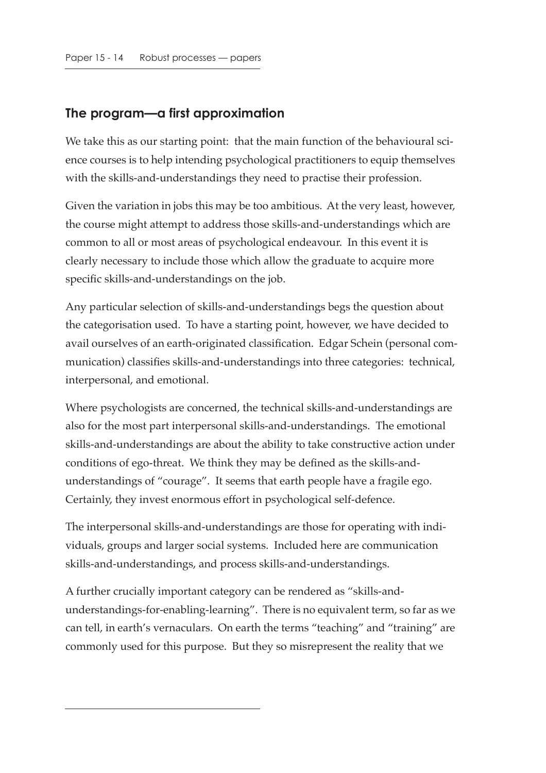## **The program—a first approximation**

We take this as our starting point: that the main function of the behavioural science courses is to help intending psychological practitioners to equip themselves with the skills-and-understandings they need to practise their profession.

Given the variation in jobs this may be too ambitious. At the very least, however, the course might attempt to address those skills-and-understandings which are common to all or most areas of psychological endeavour. In this event it is clearly necessary to include those which allow the graduate to acquire more specific skills-and-understandings on the job.

Any particular selection of skills-and-understandings begs the question about the categorisation used. To have a starting point, however, we have decided to avail ourselves of an earth-originated classification. Edgar Schein (personal communication) classifies skills-and-understandings into three categories: technical, interpersonal, and emotional.

Where psychologists are concerned, the technical skills-and-understandings are also for the most part interpersonal skills-and-understandings. The emotional skills-and-understandings are about the ability to take constructive action under conditions of ego-threat. We think they may be defined as the skills-andunderstandings of "courage". It seems that earth people have a fragile ego. Certainly, they invest enormous effort in psychological self-defence.

The interpersonal skills-and-understandings are those for operating with individuals, groups and larger social systems. Included here are communication skills-and-understandings, and process skills-and-understandings.

A further crucially important category can be rendered as "skills-andunderstandings-for-enabling-learning". There is no equivalent term, so far as we can tell, in earth's vernaculars. On earth the terms "teaching" and "training" are commonly used for this purpose. But they so misrepresent the reality that we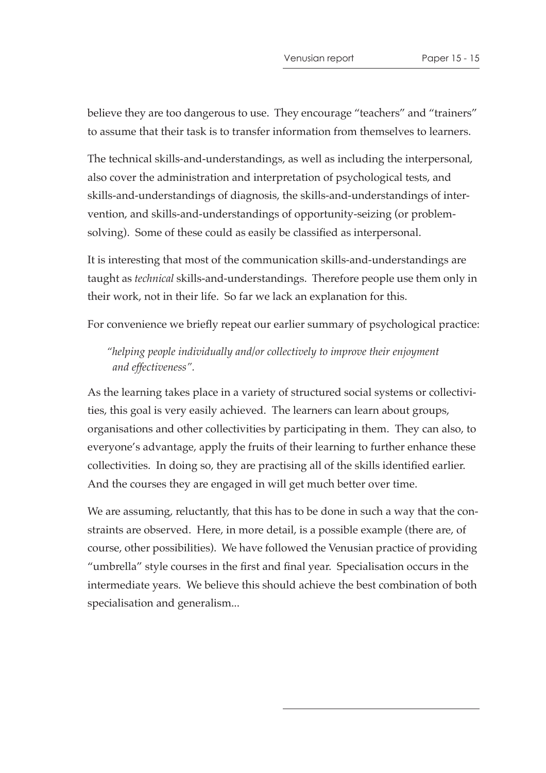believe they are too dangerous to use. They encourage "teachers" and "trainers" to assume that their task is to transfer information from themselves to learners.

The technical skills-and-understandings, as well as including the interpersonal, also cover the administration and interpretation of psychological tests, and skills-and-understandings of diagnosis, the skills-and-understandings of intervention, and skills-and-understandings of opportunity-seizing (or problemsolving). Some of these could as easily be classified as interpersonal.

It is interesting that most of the communication skills-and-understandings are taught as *technical* skills-and-understandings. Therefore people use them only in their work, not in their life. So far we lack an explanation for this.

For convenience we briefly repeat our earlier summary of psychological practice:

*"helping people individually and/or collectively to improve their enjoyment and effectiveness".*

As the learning takes place in a variety of structured social systems or collectivities, this goal is very easily achieved. The learners can learn about groups, organisations and other collectivities by participating in them. They can also, to everyone's advantage, apply the fruits of their learning to further enhance these collectivities. In doing so, they are practising all of the skills identified earlier. And the courses they are engaged in will get much better over time.

We are assuming, reluctantly, that this has to be done in such a way that the constraints are observed. Here, in more detail, is a possible example (there are, of course, other possibilities). We have followed the Venusian practice of providing "umbrella" style courses in the first and final year. Specialisation occurs in the intermediate years. We believe this should achieve the best combination of both specialisation and generalism...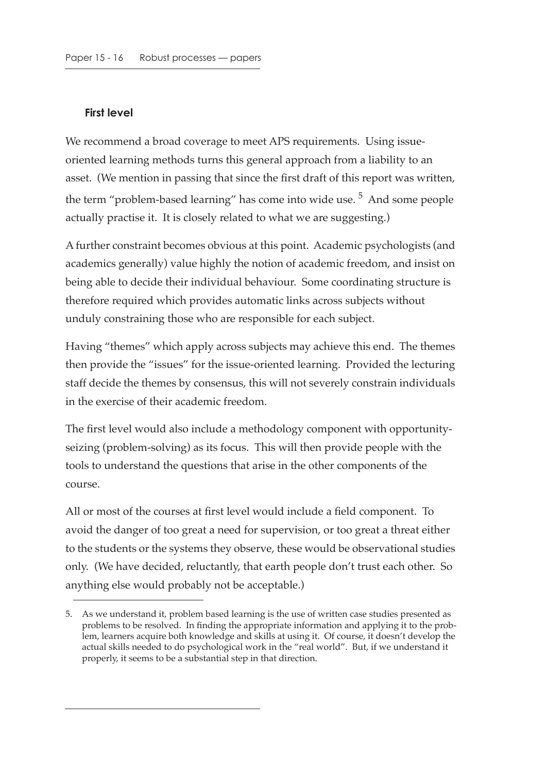#### **First level**

We recommend a broad coverage to meet APS requirements. Using issueoriented learning methods turns this general approach from a liability to an asset. (We mention in passing that since the first draft of this report was written, the term "problem-based learning" has come into wide use.<sup>5</sup> And some people actually practise it. It is closely related to what we are suggesting.)

A further constraint becomes obvious at this point. Academic psychologists (and academics generally) value highly the notion of academic freedom, and insist on being able to decide their individual behaviour. Some coordinating structure is therefore required which provides automatic links across subjects without unduly constraining those who are responsible for each subject.

Having "themes" which apply across subjects may achieve this end. The themes then provide the "issues" for the issue-oriented learning. Provided the lecturing staff decide the themes by consensus, this will not severely constrain individuals in the exercise of their academic freedom.

The first level would also include a methodology component with opportunityseizing (problem-solving) as its focus. This will then provide people with the tools to understand the questions that arise in the other components of the course.

All or most of the courses at first level would include a field component. To avoid the danger of too great a need for supervision, or too great a threat either to the students or the systems they observe, these would be observational studies only. (We have decided, reluctantly, that earth people don't trust each other. So anything else would probably not be acceptable.)

<sup>5.</sup> As we understand it, problem based learning is the use of written case studies presented as problems to be resolved. In finding the appropriate information and applying it to the problem, learners acquire both knowledge and skills at using it. Of course, it doesn't develop the actual skills needed to do psychological work in the "real world". But, if we understand it properly, it seems to be a substantial step in that direction.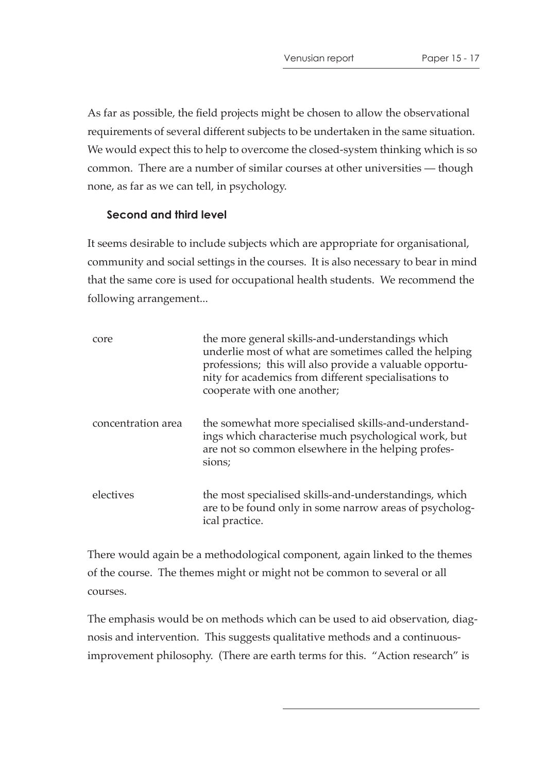As far as possible, the field projects might be chosen to allow the observational requirements of several different subjects to be undertaken in the same situation. We would expect this to help to overcome the closed-system thinking which is so common. There are a number of similar courses at other universities — though none, as far as we can tell, in psychology.

#### **Second and third level**

It seems desirable to include subjects which are appropriate for organisational, community and social settings in the courses. It is also necessary to bear in mind that the same core is used for occupational health students. We recommend the following arrangement...

| core               | the more general skills-and-understandings which<br>underlie most of what are sometimes called the helping<br>professions; this will also provide a valuable opportu-<br>nity for academics from different specialisations to<br>cooperate with one another; |
|--------------------|--------------------------------------------------------------------------------------------------------------------------------------------------------------------------------------------------------------------------------------------------------------|
| concentration area | the somewhat more specialised skills-and-understand-<br>ings which characterise much psychological work, but<br>are not so common elsewhere in the helping profes-<br>sions;                                                                                 |
| electives          | the most specialised skills-and-understandings, which<br>are to be found only in some narrow areas of psycholog-<br>ical practice.                                                                                                                           |

There would again be a methodological component, again linked to the themes of the course. The themes might or might not be common to several or all courses.

The emphasis would be on methods which can be used to aid observation, diagnosis and intervention. This suggests qualitative methods and a continuousimprovement philosophy. (There are earth terms for this. "Action research" is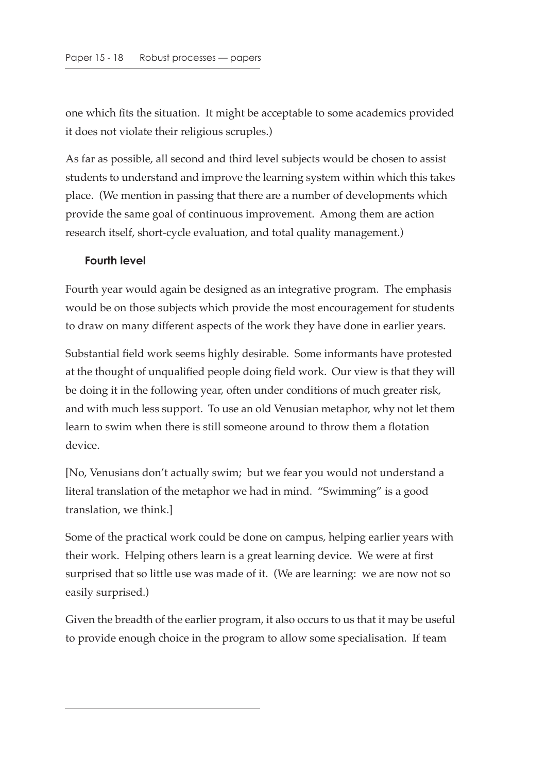one which fits the situation. It might be acceptable to some academics provided it does not violate their religious scruples.)

As far as possible, all second and third level subjects would be chosen to assist students to understand and improve the learning system within which this takes place. (We mention in passing that there are a number of developments which provide the same goal of continuous improvement. Among them are action research itself, short-cycle evaluation, and total quality management.)

#### **Fourth level**

Fourth year would again be designed as an integrative program. The emphasis would be on those subjects which provide the most encouragement for students to draw on many different aspects of the work they have done in earlier years.

Substantial field work seems highly desirable. Some informants have protested at the thought of unqualified people doing field work. Our view is that they will be doing it in the following year, often under conditions of much greater risk, and with much less support. To use an old Venusian metaphor, why not let them learn to swim when there is still someone around to throw them a flotation device.

[No, Venusians don't actually swim; but we fear you would not understand a literal translation of the metaphor we had in mind. "Swimming" is a good translation, we think.]

Some of the practical work could be done on campus, helping earlier years with their work. Helping others learn is a great learning device. We were at first surprised that so little use was made of it. (We are learning: we are now not so easily surprised.)

Given the breadth of the earlier program, it also occurs to us that it may be useful to provide enough choice in the program to allow some specialisation. If team